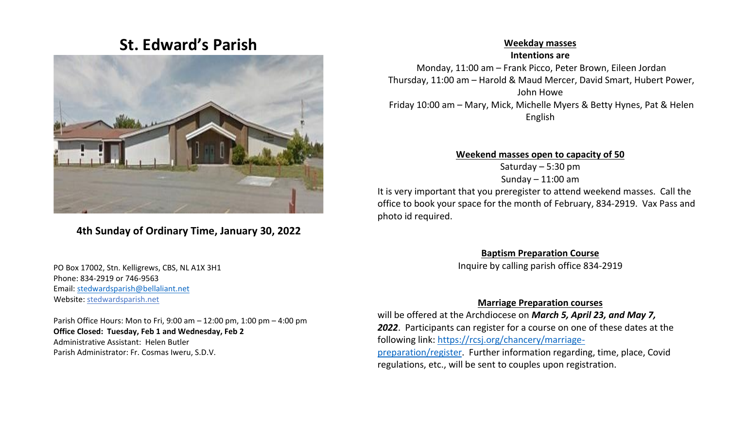# **St. Edward's Parish**



## **4th Sunday of Ordinary Time, January 30, 2022**

 PO Box 17002, Stn. Kelligrews, CBS, NL A1X 3H1 Phone: 834-2919 or 746-9563 Email[: stedwardsparish@bellaliant.net](mailto:stedwardsparish@bellaliant.net)  Website: stedwardsparish.net

 Parish Office Hours: Mon to Fri, 9:00 am – 12:00 pm, 1:00 pm – 4:00 pm **Office Closed: Tuesday, Feb 1 and Wednesday, Feb 2** Administrative Assistant: Helen Butler Parish Administrator: Fr. Cosmas Iweru, S.D.V.

#### **Weekday masses**

**Intentions are** Monday, 11:00 am – Frank Picco, Peter Brown, Eileen Jordan Thursday, 11:00 am – Harold & Maud Mercer, David Smart, Hubert Power, John Howe Friday 10:00 am – Mary, Mick, Michelle Myers & Betty Hynes, Pat & Helen English

#### **Weekend masses open to capacity of 50**

Saturday – 5:30 pm Sunday  $-11:00$  am

It is very important that you preregister to attend weekend masses. Call the office to book your space for the month of February, 834-2919. Vax Pass and photo id required.

#### **Baptism Preparation Course**

Inquire by calling parish office 834-2919

#### **Marriage Preparation courses**

will be offered at the Archdiocese on *March 5, April 23, and May 7, 2022*. Participants can register for a course on one of these dates at the following link: [https://rcsj.org/chancery/marriage](https://rcsj.org/chancery/marriage-preparation/register)[preparation/register.](https://rcsj.org/chancery/marriage-preparation/register) Further information regarding, time, place, Covid regulations, etc., will be sent to couples upon registration.